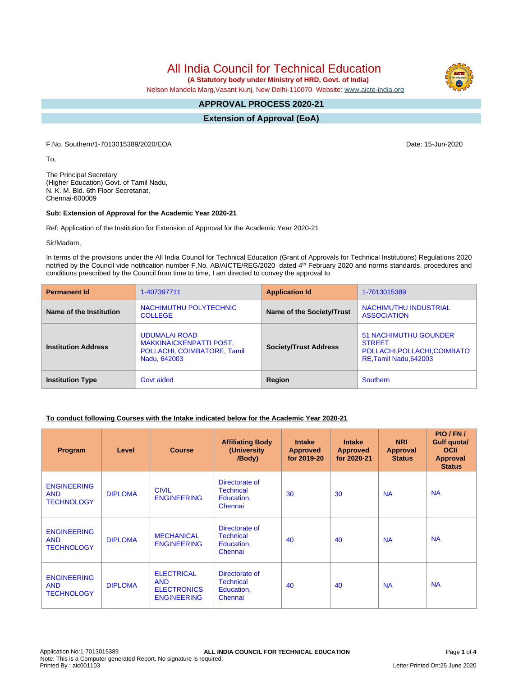# All India Council for Technical Education

 **(A Statutory body under Ministry of HRD, Govt. of India)**

Nelson Mandela Marg,Vasant Kunj, New Delhi-110070 Website: [www.aicte-india.org](http://www.aicte-india.org)

#### **APPROVAL PROCESS 2020-21 -**

**Extension of Approval (EoA)**

F.No. Southern/1-7013015389/2020/EOA Date: 15-Jun-2020

To,

The Principal Secretary (Higher Education) Govt. of Tamil Nadu, N. K. M. Bld. 6th Floor Secretariat, Chennai-600009

#### **Sub: Extension of Approval for the Academic Year 2020-21**

Ref: Application of the Institution for Extension of Approval for the Academic Year 2020-21

Sir/Madam,

In terms of the provisions under the All India Council for Technical Education (Grant of Approvals for Technical Institutions) Regulations 2020 notified by the Council vide notification number F.No. AB/AICTE/REG/2020 dated 4<sup>th</sup> February 2020 and norms standards, procedures and conditions prescribed by the Council from time to time, I am directed to convey the approval to

| <b>Permanent Id</b>        | 1-407397711                                                                                           | <b>Application Id</b>        | 1-7013015389                                                                                            |
|----------------------------|-------------------------------------------------------------------------------------------------------|------------------------------|---------------------------------------------------------------------------------------------------------|
| Name of the Institution    | NACHIMUTHU POLYTECHNIC<br><b>COLLEGE</b>                                                              | Name of the Society/Trust    | NACHIMUTHU INDUSTRIAL<br><b>ASSOCIATION</b>                                                             |
| <b>Institution Address</b> | <b>UDUMALAI ROAD</b><br><b>MAKKINAICKENPATTI POST,</b><br>POLLACHI, COIMBATORE, Tamil<br>Nadu, 642003 | <b>Society/Trust Address</b> | <b>51 NACHIMUTHU GOUNDER</b><br><b>STREET</b><br>POLLACHI, POLLACHI, COIMBATO<br>RE, Tamil Nadu, 642003 |
| <b>Institution Type</b>    | Govt aided                                                                                            | Region                       | Southern                                                                                                |

### **To conduct following Courses with the Intake indicated below for the Academic Year 2020-21**

| Program                                               | Level          | <b>Course</b>                                                               | <b>Affiliating Body</b><br>(University)<br>/Body)           | <b>Intake</b><br><b>Approved</b><br>for 2019-20 | <b>Intake</b><br><b>Approved</b><br>for 2020-21 | <b>NRI</b><br>Approval<br><b>Status</b> | PIO/FN/<br>Gulf quota/<br><b>OCI</b><br><b>Approval</b><br><b>Status</b> |
|-------------------------------------------------------|----------------|-----------------------------------------------------------------------------|-------------------------------------------------------------|-------------------------------------------------|-------------------------------------------------|-----------------------------------------|--------------------------------------------------------------------------|
| <b>ENGINEERING</b><br><b>AND</b><br><b>TECHNOLOGY</b> | <b>DIPLOMA</b> | <b>CIVIL</b><br><b>ENGINEERING</b>                                          | Directorate of<br><b>Technical</b><br>Education,<br>Chennai | 30                                              | 30                                              | <b>NA</b>                               | <b>NA</b>                                                                |
| <b>ENGINEERING</b><br><b>AND</b><br><b>TECHNOLOGY</b> | <b>DIPLOMA</b> | <b>MECHANICAL</b><br><b>ENGINEERING</b>                                     | Directorate of<br><b>Technical</b><br>Education,<br>Chennai | 40                                              | 40                                              | <b>NA</b>                               | <b>NA</b>                                                                |
| <b>ENGINEERING</b><br><b>AND</b><br><b>TECHNOLOGY</b> | <b>DIPLOMA</b> | <b>ELECTRICAL</b><br><b>AND</b><br><b>ELECTRONICS</b><br><b>ENGINEERING</b> | Directorate of<br><b>Technical</b><br>Education,<br>Chennai | 40                                              | 40                                              | <b>NA</b>                               | <b>NA</b>                                                                |

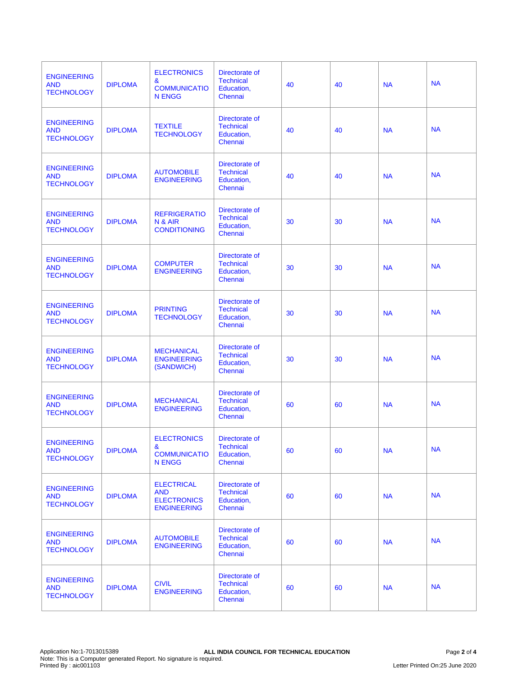| <b>ENGINEERING</b><br><b>AND</b><br><b>TECHNOLOGY</b> | <b>DIPLOMA</b> | <b>ELECTRONICS</b><br>&<br><b>COMMUNICATIO</b><br><b>N ENGG</b>             | Directorate of<br><b>Technical</b><br>Education,<br>Chennai | 40 | 40 | <b>NA</b> | <b>NA</b> |
|-------------------------------------------------------|----------------|-----------------------------------------------------------------------------|-------------------------------------------------------------|----|----|-----------|-----------|
| <b>ENGINEERING</b><br><b>AND</b><br><b>TECHNOLOGY</b> | <b>DIPLOMA</b> | <b>TEXTILE</b><br><b>TECHNOLOGY</b>                                         | Directorate of<br><b>Technical</b><br>Education,<br>Chennai | 40 | 40 | <b>NA</b> | <b>NA</b> |
| <b>ENGINEERING</b><br><b>AND</b><br><b>TECHNOLOGY</b> | <b>DIPLOMA</b> | <b>AUTOMOBILE</b><br><b>ENGINEERING</b>                                     | Directorate of<br><b>Technical</b><br>Education,<br>Chennai | 40 | 40 | <b>NA</b> | <b>NA</b> |
| <b>ENGINEERING</b><br><b>AND</b><br><b>TECHNOLOGY</b> | <b>DIPLOMA</b> | <b>REFRIGERATIO</b><br>N & AIR<br><b>CONDITIONING</b>                       | Directorate of<br><b>Technical</b><br>Education,<br>Chennai | 30 | 30 | <b>NA</b> | <b>NA</b> |
| <b>ENGINEERING</b><br><b>AND</b><br><b>TECHNOLOGY</b> | <b>DIPLOMA</b> | <b>COMPUTER</b><br><b>ENGINEERING</b>                                       | Directorate of<br><b>Technical</b><br>Education,<br>Chennai | 30 | 30 | <b>NA</b> | <b>NA</b> |
| <b>ENGINEERING</b><br><b>AND</b><br><b>TECHNOLOGY</b> | <b>DIPLOMA</b> | <b>PRINTING</b><br><b>TECHNOLOGY</b>                                        | Directorate of<br><b>Technical</b><br>Education,<br>Chennai | 30 | 30 | <b>NA</b> | <b>NA</b> |
| <b>ENGINEERING</b><br><b>AND</b><br><b>TECHNOLOGY</b> | <b>DIPLOMA</b> | <b>MECHANICAL</b><br><b>ENGINEERING</b><br>(SANDWICH)                       | Directorate of<br><b>Technical</b><br>Education,<br>Chennai | 30 | 30 | <b>NA</b> | <b>NA</b> |
| <b>ENGINEERING</b><br><b>AND</b><br><b>TECHNOLOGY</b> | <b>DIPLOMA</b> | <b>MECHANICAL</b><br><b>ENGINEERING</b>                                     | Directorate of<br><b>Technical</b><br>Education,<br>Chennai | 60 | 60 | <b>NA</b> | <b>NA</b> |
| <b>ENGINEERING</b><br><b>AND</b><br><b>TECHNOLOGY</b> | <b>DIPLOMA</b> | <b>ELECTRONICS</b><br>&<br><b>COMMUNICATIO</b><br><b>N ENGG</b>             | Directorate of<br><b>Technical</b><br>Education,<br>Chennai | 60 | 60 | <b>NA</b> | <b>NA</b> |
| <b>ENGINEERING</b><br><b>AND</b><br><b>TECHNOLOGY</b> | <b>DIPLOMA</b> | <b>ELECTRICAL</b><br><b>AND</b><br><b>ELECTRONICS</b><br><b>ENGINEERING</b> | Directorate of<br><b>Technical</b><br>Education,<br>Chennai | 60 | 60 | <b>NA</b> | <b>NA</b> |
| <b>ENGINEERING</b><br><b>AND</b><br><b>TECHNOLOGY</b> | <b>DIPLOMA</b> | <b>AUTOMOBILE</b><br><b>ENGINEERING</b>                                     | Directorate of<br><b>Technical</b><br>Education,<br>Chennai | 60 | 60 | <b>NA</b> | <b>NA</b> |
| <b>ENGINEERING</b><br><b>AND</b><br><b>TECHNOLOGY</b> | <b>DIPLOMA</b> | <b>CIVIL</b><br><b>ENGINEERING</b>                                          | Directorate of<br><b>Technical</b><br>Education,<br>Chennai | 60 | 60 | <b>NA</b> | <b>NA</b> |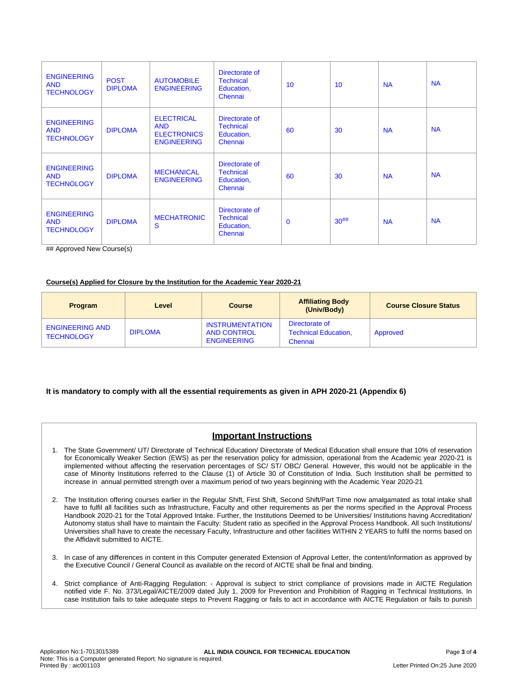| <b>ENGINEERING</b><br><b>AND</b><br><b>TECHNOLOGY</b> | <b>POST</b><br><b>DIPLOMA</b> | <b>AUTOMOBILE</b><br><b>ENGINEERING</b>                                     | Directorate of<br><b>Technical</b><br>Education,<br>Chennai | 10          | 10 <sup>°</sup> | <b>NA</b> | <b>NA</b> |
|-------------------------------------------------------|-------------------------------|-----------------------------------------------------------------------------|-------------------------------------------------------------|-------------|-----------------|-----------|-----------|
| <b>ENGINEERING</b><br><b>AND</b><br><b>TECHNOLOGY</b> | <b>DIPLOMA</b>                | <b>ELECTRICAL</b><br><b>AND</b><br><b>ELECTRONICS</b><br><b>ENGINEERING</b> | Directorate of<br><b>Technical</b><br>Education,<br>Chennai | 60          | 30              | <b>NA</b> | <b>NA</b> |
| <b>ENGINEERING</b><br><b>AND</b><br><b>TECHNOLOGY</b> | <b>DIPLOMA</b>                | <b>MECHANICAL</b><br><b>ENGINEERING</b>                                     | Directorate of<br><b>Technical</b><br>Education,<br>Chennai | 60          | 30              | <b>NA</b> | <b>NA</b> |
| <b>ENGINEERING</b><br><b>AND</b><br><b>TECHNOLOGY</b> | <b>DIPLOMA</b>                | <b>MECHATRONIC</b><br>S                                                     | Directorate of<br><b>Technical</b><br>Education,<br>Chennai | $\mathbf 0$ | $30^{##}$       | <b>NA</b> | <b>NA</b> |

## Approved New Course(s)

#### **Course(s) Applied for Closure by the Institution for the Academic Year 2020-21**

| <b>Program</b>                              | Level          | <b>Course</b>                                                      | <b>Affiliating Body</b><br>(Univ/Body)                   | <b>Course Closure Status</b> |
|---------------------------------------------|----------------|--------------------------------------------------------------------|----------------------------------------------------------|------------------------------|
| <b>ENGINEERING AND</b><br><b>TECHNOLOGY</b> | <b>DIPLOMA</b> | <b>INSTRUMENTATION</b><br><b>AND CONTROL</b><br><b>ENGINEERING</b> | Directorate of<br><b>Technical Education.</b><br>Chennai | Approved                     |

### **It is mandatory to comply with all the essential requirements as given in APH 2020-21 (Appendix 6)**

## **Important Instructions**

- 1. The State Government/ UT/ Directorate of Technical Education/ Directorate of Medical Education shall ensure that 10% of reservation for Economically Weaker Section (EWS) as per the reservation policy for admission, operational from the Academic year 2020-21 is implemented without affecting the reservation percentages of SC/ ST/ OBC/ General. However, this would not be applicable in the case of Minority Institutions referred to the Clause (1) of Article 30 of Constitution of India. Such Institution shall be permitted to increase in annual permitted strength over a maximum period of two years beginning with the Academic Year 2020-21
- 2. The Institution offering courses earlier in the Regular Shift, First Shift, Second Shift/Part Time now amalgamated as total intake shall have to fulfil all facilities such as Infrastructure, Faculty and other requirements as per the norms specified in the Approval Process Handbook 2020-21 for the Total Approved Intake. Further, the Institutions Deemed to be Universities/ Institutions having Accreditation/ Autonomy status shall have to maintain the Faculty: Student ratio as specified in the Approval Process Handbook. All such Institutions/ Universities shall have to create the necessary Faculty, Infrastructure and other facilities WITHIN 2 YEARS to fulfil the norms based on the Affidavit submitted to AICTE.
- 3. In case of any differences in content in this Computer generated Extension of Approval Letter, the content/information as approved by the Executive Council / General Council as available on the record of AICTE shall be final and binding.
- 4. Strict compliance of Anti-Ragging Regulation: Approval is subject to strict compliance of provisions made in AICTE Regulation notified vide F. No. 373/Legal/AICTE/2009 dated July 1, 2009 for Prevention and Prohibition of Ragging in Technical Institutions. In case Institution fails to take adequate steps to Prevent Ragging or fails to act in accordance with AICTE Regulation or fails to punish